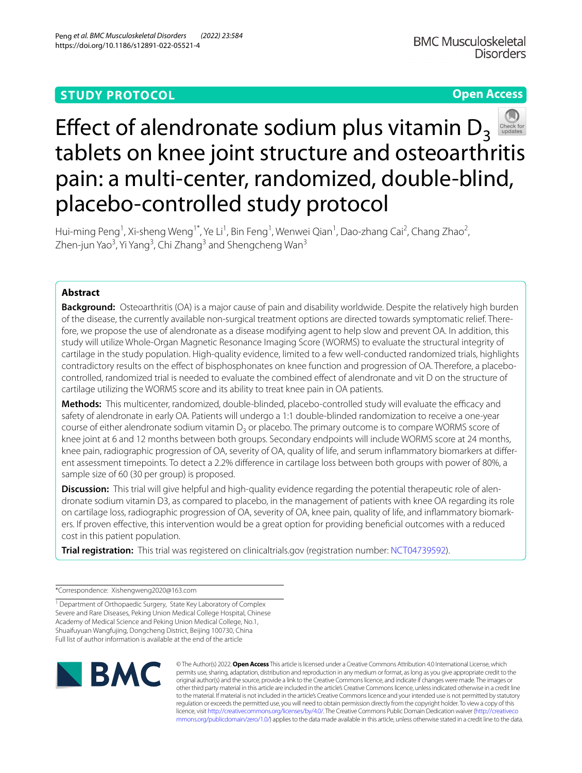# **STUDY PROTOCOL**

# **Open Access**



# Effect of alendronate sodium plus vitamin  $D_3$ tablets on knee joint structure and osteoarthritis pain: a multi-center, randomized, double-blind, placebo-controlled study protocol

Hui-ming Peng<sup>1</sup>, Xi-sheng Weng<sup>1\*</sup>, Ye Li<sup>1</sup>, Bin Feng<sup>1</sup>, Wenwei Qian<sup>1</sup>, Dao-zhang Cai<sup>2</sup>, Chang Zhao<sup>2</sup>, Zhen-jun Yao<sup>3</sup>, Yi Yang<sup>3</sup>, Chi Zhang<sup>3</sup> and Shengcheng Wan<sup>3</sup>

# **Abstract**

**Background:** Osteoarthritis (OA) is a major cause of pain and disability worldwide. Despite the relatively high burden of the disease, the currently available non-surgical treatment options are directed towards symptomatic relief. There‑ fore, we propose the use of alendronate as a disease modifying agent to help slow and prevent OA. In addition, this study will utilize Whole-Organ Magnetic Resonance Imaging Score (WORMS) to evaluate the structural integrity of cartilage in the study population. High-quality evidence, limited to a few well-conducted randomized trials, highlights contradictory results on the efect of bisphosphonates on knee function and progression of OA. Therefore, a placebocontrolled, randomized trial is needed to evaluate the combined efect of alendronate and vit D on the structure of cartilage utilizing the WORMS score and its ability to treat knee pain in OA patients.

Methods: This multicenter, randomized, double-blinded, placebo-controlled study will evaluate the efficacy and safety of alendronate in early OA. Patients will undergo a 1:1 double-blinded randomization to receive a one-year course of either alendronate sodium vitamin  $D<sub>3</sub>$  or placebo. The primary outcome is to compare WORMS score of knee joint at 6 and 12 months between both groups. Secondary endpoints will include WORMS score at 24 months, knee pain, radiographic progression of OA, severity of OA, quality of life, and serum inflammatory biomarkers at different assessment timepoints. To detect a 2.2% diference in cartilage loss between both groups with power of 80%, a sample size of 60 (30 per group) is proposed.

**Discussion:** This trial will give helpful and high-quality evidence regarding the potential therapeutic role of alendronate sodium vitamin D3, as compared to placebo, in the management of patients with knee OA regarding its role on cartilage loss, radiographic progression of OA, severity of OA, knee pain, quality of life, and infammatory biomark‑ ers. If proven efective, this intervention would be a great option for providing benefcial outcomes with a reduced cost in this patient population.

**Trial registration:** This trial was registered on clinicaltrials.gov (registration number: [NCT04739592](https://www.clinicaltrials.gov/ct2/show/NCT04739592?term=NCT04739592&draw=2&rank=1)).

\*Correspondence: Xishengweng2020@163.com

<sup>1</sup> Department of Orthopaedic Surgery, State Key Laboratory of Complex Severe and Rare Diseases, Peking Union Medical College Hospital, Chinese Academy of Medical Science and Peking Union Medical College, No.1, Shuaifuyuan Wangfujing, Dongcheng District, Beijing 100730, China Full list of author information is available at the end of the article



© The Author(s) 2022. **Open Access** This article is licensed under a Creative Commons Attribution 4.0 International License, which permits use, sharing, adaptation, distribution and reproduction in any medium or format, as long as you give appropriate credit to the original author(s) and the source, provide a link to the Creative Commons licence, and indicate if changes were made. The images or other third party material in this article are included in the article's Creative Commons licence, unless indicated otherwise in a credit line to the material. If material is not included in the article's Creative Commons licence and your intended use is not permitted by statutory regulation or exceeds the permitted use, you will need to obtain permission directly from the copyright holder. To view a copy of this licence, visit [http://creativecommons.org/licenses/by/4.0/.](http://creativecommons.org/licenses/by/4.0/) The Creative Commons Public Domain Dedication waiver ([http://creativeco](http://creativecommons.org/publicdomain/zero/1.0/) [mmons.org/publicdomain/zero/1.0/](http://creativecommons.org/publicdomain/zero/1.0/)) applies to the data made available in this article, unless otherwise stated in a credit line to the data.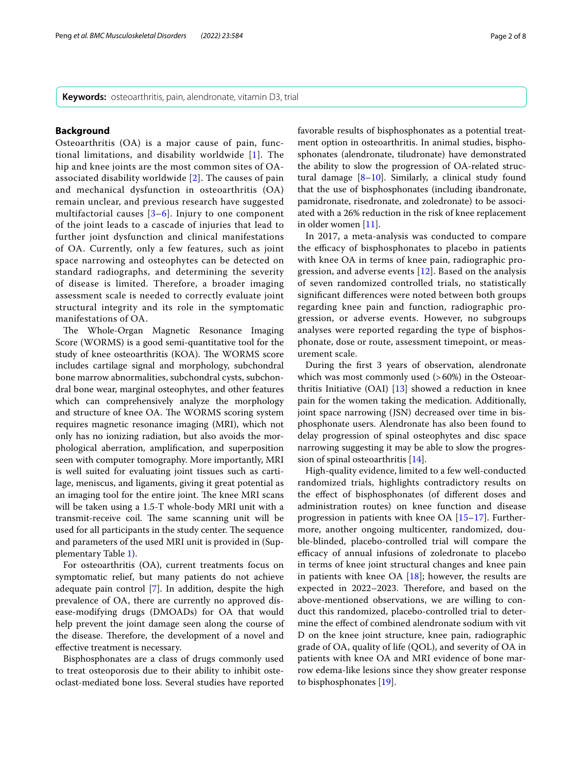**Keywords:** osteoarthritis, pain, alendronate, vitamin D3, trial

## **Background**

Osteoarthritis (OA) is a major cause of pain, functional limitations, and disability worldwide [[1](#page-6-0)]. The hip and knee joints are the most common sites of OAassociated disability worldwide [[2](#page-6-1)]. The causes of pain and mechanical dysfunction in osteoarthritis (OA) remain unclear, and previous research have suggested multifactorial causes [\[3](#page-6-2)–[6\]](#page-6-3). Injury to one component of the joint leads to a cascade of injuries that lead to further joint dysfunction and clinical manifestations of OA. Currently, only a few features, such as joint space narrowing and osteophytes can be detected on standard radiographs, and determining the severity of disease is limited. Therefore, a broader imaging assessment scale is needed to correctly evaluate joint structural integrity and its role in the symptomatic manifestations of OA.

The Whole-Organ Magnetic Resonance Imaging Score (WORMS) is a good semi-quantitative tool for the study of knee osteoarthritis (KOA). The WORMS score includes cartilage signal and morphology, subchondral bone marrow abnormalities, subchondral cysts, subchondral bone wear, marginal osteophytes, and other features which can comprehensively analyze the morphology and structure of knee OA. The WORMS scoring system requires magnetic resonance imaging (MRI), which not only has no ionizing radiation, but also avoids the morphological aberration, amplifcation, and superposition seen with computer tomography. More importantly, MRI is well suited for evaluating joint tissues such as cartilage, meniscus, and ligaments, giving it great potential as an imaging tool for the entire joint. The knee MRI scans will be taken using a 1.5-T whole-body MRI unit with a transmit-receive coil. The same scanning unit will be used for all participants in the study center. The sequence and parameters of the used MRI unit is provided in (Supplementary Table [1](#page-6-4)).

For osteoarthritis (OA), current treatments focus on symptomatic relief, but many patients do not achieve adequate pain control [[7\]](#page-6-5). In addition, despite the high prevalence of OA, there are currently no approved disease-modifying drugs (DMOADs) for OA that would help prevent the joint damage seen along the course of the disease. Therefore, the development of a novel and efective treatment is necessary.

Bisphosphonates are a class of drugs commonly used to treat osteoporosis due to their ability to inhibit osteoclast-mediated bone loss. Several studies have reported favorable results of bisphosphonates as a potential treatment option in osteoarthritis. In animal studies, bisphosphonates (alendronate, tiludronate) have demonstrated the ability to slow the progression of OA-related structural damage [\[8–](#page-6-6)[10\]](#page-6-7). Similarly, a clinical study found that the use of bisphosphonates (including ibandronate, pamidronate, risedronate, and zoledronate) to be associated with a 26% reduction in the risk of knee replacement in older women [\[11](#page-6-8)].

In 2017, a meta-analysis was conducted to compare the efficacy of bisphosphonates to placebo in patients with knee OA in terms of knee pain, radiographic progression, and adverse events [\[12](#page-6-9)]. Based on the analysis of seven randomized controlled trials, no statistically signifcant diferences were noted between both groups regarding knee pain and function, radiographic progression, or adverse events. However, no subgroups analyses were reported regarding the type of bisphosphonate, dose or route, assessment timepoint, or measurement scale.

During the frst 3 years of observation, alendronate which was most commonly used  $(>60%)$  in the Osteoarthritis Initiative (OAI)  $[13]$  $[13]$  showed a reduction in knee pain for the women taking the medication. Additionally, joint space narrowing (JSN) decreased over time in bisphosphonate users. Alendronate has also been found to delay progression of spinal osteophytes and disc space narrowing suggesting it may be able to slow the progression of spinal osteoarthritis [[14](#page-7-1)].

High-quality evidence, limited to a few well-conducted randomized trials, highlights contradictory results on the efect of bisphosphonates (of diferent doses and administration routes) on knee function and disease progression in patients with knee OA [\[15](#page-7-2)[–17](#page-7-3)]. Furthermore, another ongoing multicenter, randomized, double-blinded, placebo-controlled trial will compare the efficacy of annual infusions of zoledronate to placebo in terms of knee joint structural changes and knee pain in patients with knee OA  $[18]$  $[18]$ ; however, the results are expected in 2022-2023. Therefore, and based on the above-mentioned observations, we are willing to conduct this randomized, placebo-controlled trial to determine the efect of combined alendronate sodium with vit D on the knee joint structure, knee pain, radiographic grade of OA, quality of life (QOL), and severity of OA in patients with knee OA and MRI evidence of bone marrow edema-like lesions since they show greater response to bisphosphonates [\[19](#page-7-5)].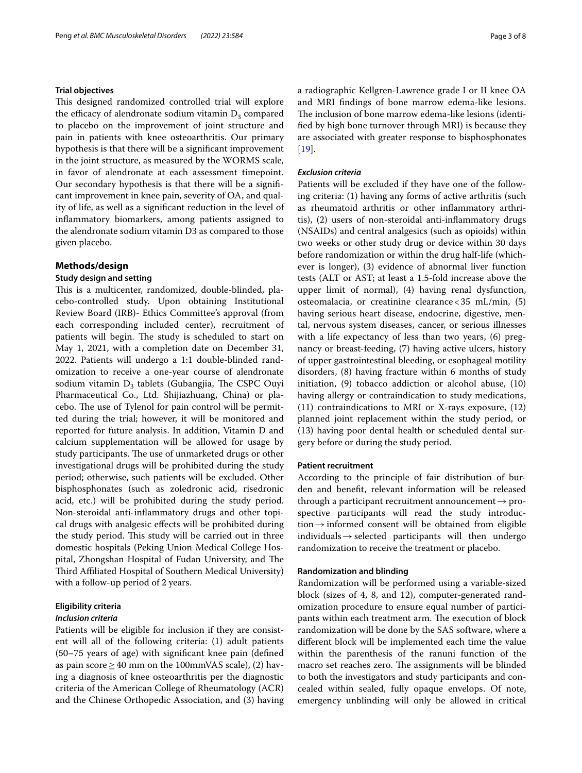#### **Trial objectives**

This designed randomized controlled trial will explore the efficacy of alendronate sodium vitamin  $D_3$  compared to placebo on the improvement of joint structure and pain in patients with knee osteoarthritis. Our primary hypothesis is that there will be a signifcant improvement in the joint structure, as measured by the WORMS scale, in favor of alendronate at each assessment timepoint. Our secondary hypothesis is that there will be a signifcant improvement in knee pain, severity of OA, and quality of life, as well as a signifcant reduction in the level of infammatory biomarkers, among patients assigned to the alendronate sodium vitamin D3 as compared to those given placebo.

# **Methods/design**

### **Study design and setting**

This is a multicenter, randomized, double-blinded, placebo-controlled study. Upon obtaining Institutional Review Board (IRB)- Ethics Committee's approval (from each corresponding included center), recruitment of patients will begin. The study is scheduled to start on May 1, 2021, with a completion date on December 31, 2022. Patients will undergo a 1:1 double-blinded randomization to receive a one-year course of alendronate sodium vitamin  $D_3$  tablets (Gubangjia, The CSPC Ouyi Pharmaceutical Co., Ltd. Shijiazhuang, China) or placebo. The use of Tylenol for pain control will be permitted during the trial; however, it will be monitored and reported for future analysis. In addition, Vitamin D and calcium supplementation will be allowed for usage by study participants. The use of unmarketed drugs or other investigational drugs will be prohibited during the study period; otherwise, such patients will be excluded. Other bisphosphonates (such as zoledronic acid, risedronic acid, etc.) will be prohibited during the study period. Non-steroidal anti-infammatory drugs and other topical drugs with analgesic efects will be prohibited during the study period. This study will be carried out in three domestic hospitals (Peking Union Medical College Hospital, Zhongshan Hospital of Fudan University, and The Third Affiliated Hospital of Southern Medical University) with a follow-up period of 2 years.

# **Eligibility criteria**

# *Inclusion criteria*

Patients will be eligible for inclusion if they are consistent will all of the following criteria: (1) adult patients (50–75 years of age) with signifcant knee pain (defned as pain score  $\geq$  40 mm on the 100mmVAS scale), (2) having a diagnosis of knee osteoarthritis per the diagnostic criteria of the American College of Rheumatology (ACR) and the Chinese Orthopedic Association, and (3) having a radiographic Kellgren-Lawrence grade I or II knee OA and MRI fndings of bone marrow edema-like lesions. The inclusion of bone marrow edema-like lesions (identifed by high bone turnover through MRI) is because they are associated with greater response to bisphosphonates [[19\]](#page-7-5).

# *Exclusion criteria*

Patients will be excluded if they have one of the following criteria: (1) having any forms of active arthritis (such as rheumatoid arthritis or other infammatory arthritis), (2) users of non-steroidal anti-infammatory drugs (NSAIDs) and central analgesics (such as opioids) within two weeks or other study drug or device within 30 days before randomization or within the drug half-life (whichever is longer), (3) evidence of abnormal liver function tests (ALT or AST; at least a 1.5-fold increase above the upper limit of normal), (4) having renal dysfunction, osteomalacia, or creatinine clearance<35 mL/min, (5) having serious heart disease, endocrine, digestive, mental, nervous system diseases, cancer, or serious illnesses with a life expectancy of less than two years, (6) pregnancy or breast-feeding, (7) having active ulcers, history of upper gastrointestinal bleeding, or esophageal motility disorders, (8) having fracture within 6 months of study initiation, (9) tobacco addiction or alcohol abuse, (10) having allergy or contraindication to study medications, (11) contraindications to MRI or X-rays exposure, (12) planned joint replacement within the study period, or (13) having poor dental health or scheduled dental surgery before or during the study period.

## **Patient recruitment**

According to the principle of fair distribution of burden and beneft, relevant information will be released through a participant recruitment announcement $\rightarrow$  prospective participants will read the study introduction  $\rightarrow$  informed consent will be obtained from eligible individuals  $\rightarrow$  selected participants will then undergo randomization to receive the treatment or placebo.

# **Randomization and blinding**

Randomization will be performed using a variable-sized block (sizes of 4, 8, and 12), computer-generated randomization procedure to ensure equal number of participants within each treatment arm. The execution of block randomization will be done by the SAS software, where a diferent block will be implemented each time the value within the parenthesis of the ranuni function of the macro set reaches zero. The assignments will be blinded to both the investigators and study participants and concealed within sealed, fully opaque envelops. Of note, emergency unblinding will only be allowed in critical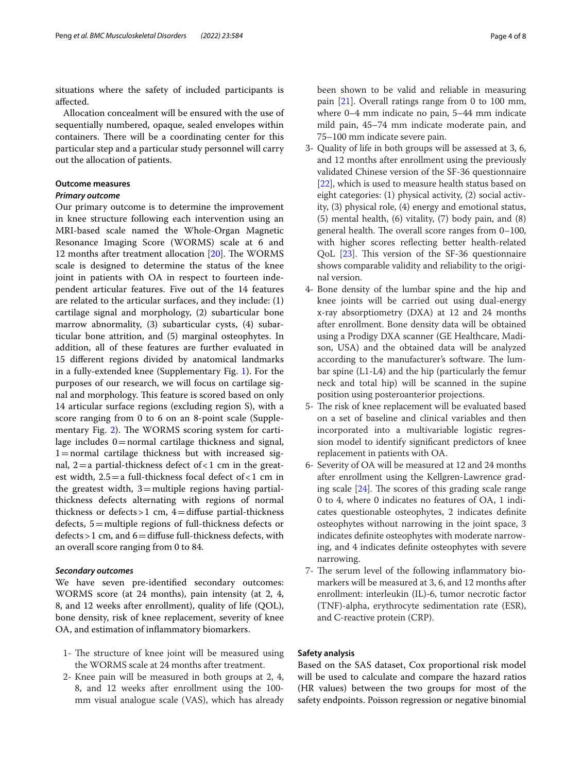situations where the safety of included participants is afected.

Allocation concealment will be ensured with the use of sequentially numbered, opaque, sealed envelopes within containers. There will be a coordinating center for this particular step and a particular study personnel will carry out the allocation of patients.

# **Outcome measures**

# *Primary outcome*

Our primary outcome is to determine the improvement in knee structure following each intervention using an MRI-based scale named the Whole-Organ Magnetic Resonance Imaging Score (WORMS) scale at 6 and 12 months after treatment allocation  $[20]$  $[20]$  $[20]$ . The WORMS scale is designed to determine the status of the knee joint in patients with OA in respect to fourteen independent articular features. Five out of the 14 features are related to the articular surfaces, and they include: (1) cartilage signal and morphology, (2) subarticular bone marrow abnormality, (3) subarticular cysts, (4) subarticular bone attrition, and (5) marginal osteophytes. In addition, all of these features are further evaluated in 15 diferent regions divided by anatomical landmarks in a fully-extended knee (Supplementary Fig. [1\)](#page-6-10). For the purposes of our research, we will focus on cartilage signal and morphology. This feature is scored based on only 14 articular surface regions (excluding region S), with a score ranging from 0 to 6 on an 8-point scale (Supple-mentary Fig. [2\)](#page-6-11). The WORMS scoring system for cartilage includes 0=normal cartilage thickness and signal,  $1=$ normal cartilage thickness but with increased signal,  $2=a$  partial-thickness defect of  $<1$  cm in the greatest width,  $2.5 = a$  full-thickness focal defect of <1 cm in the greatest width,  $3=$ multiple regions having partialthickness defects alternating with regions of normal thickness or defects  $>1$  cm,  $4=$  diffuse partial-thickness defects, 5=multiple regions of full-thickness defects or  $defects > 1$  cm, and  $6=$  diffuse full-thickness defects, with an overall score ranging from 0 to 84.

# *Secondary outcomes*

We have seven pre-identifed secondary outcomes: WORMS score (at 24 months), pain intensity (at 2, 4, 8, and 12 weeks after enrollment), quality of life (QOL), bone density, risk of knee replacement, severity of knee OA, and estimation of infammatory biomarkers.

- 1- The structure of knee joint will be measured using the WORMS scale at 24 months after treatment.
- 2- Knee pain will be measured in both groups at 2, 4, 8, and 12 weeks after enrollment using the 100 mm visual analogue scale (VAS), which has already

been shown to be valid and reliable in measuring pain [\[21\]](#page-7-7). Overall ratings range from 0 to 100 mm, where 0–4 mm indicate no pain, 5–44 mm indicate mild pain, 45–74 mm indicate moderate pain, and 75–100 mm indicate severe pain.

- 3- Quality of life in both groups will be assessed at 3, 6, and 12 months after enrollment using the previously validated Chinese version of the SF-36 questionnaire [[22\]](#page-7-8), which is used to measure health status based on eight categories: (1) physical activity, (2) social activity, (3) physical role, (4) energy and emotional status, (5) mental health, (6) vitality, (7) body pain, and (8) general health. The overall score ranges from  $0-100$ , with higher scores refecting better health-related QoL  $[23]$  $[23]$  $[23]$ . This version of the SF-36 questionnaire shows comparable validity and reliability to the original version.
- 4- Bone density of the lumbar spine and the hip and knee joints will be carried out using dual-energy x-ray absorptiometry (DXA) at 12 and 24 months after enrollment. Bone density data will be obtained using a Prodigy DXA scanner (GE Healthcare, Madison, USA) and the obtained data will be analyzed according to the manufacturer's software. The lumbar spine (L1-L4) and the hip (particularly the femur neck and total hip) will be scanned in the supine position using posteroanterior projections.
- 5- The risk of knee replacement will be evaluated based on a set of baseline and clinical variables and then incorporated into a multivariable logistic regression model to identify signifcant predictors of knee replacement in patients with OA.
- 6- Severity of OA will be measured at 12 and 24 months after enrollment using the Kellgren-Lawrence grading scale  $[24]$ . The scores of this grading scale range 0 to 4, where 0 indicates no features of OA, 1 indicates questionable osteophytes, 2 indicates defnite osteophytes without narrowing in the joint space, 3 indicates defnite osteophytes with moderate narrowing, and 4 indicates defnite osteophytes with severe narrowing.
- 7- The serum level of the following inflammatory biomarkers will be measured at 3, 6, and 12 months after enrollment: interleukin (IL)-6, tumor necrotic factor (TNF)-alpha, erythrocyte sedimentation rate (ESR), and C-reactive protein (CRP).

# **Safety analysis**

Based on the SAS dataset, Cox proportional risk model will be used to calculate and compare the hazard ratios (HR values) between the two groups for most of the safety endpoints. Poisson regression or negative binomial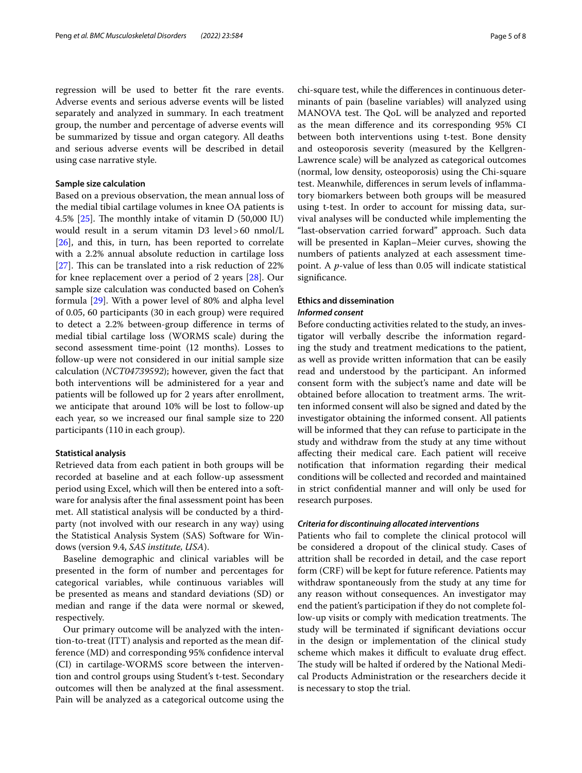regression will be used to better ft the rare events. Adverse events and serious adverse events will be listed separately and analyzed in summary. In each treatment group, the number and percentage of adverse events will be summarized by tissue and organ category. All deaths and serious adverse events will be described in detail using case narrative style.

## **Sample size calculation**

Based on a previous observation, the mean annual loss of the medial tibial cartilage volumes in knee OA patients is 4.5%  $[25]$  $[25]$ . The monthly intake of vitamin D (50,000 IU) would result in a serum vitamin D3 level>60 nmol/L [[26\]](#page-7-12), and this, in turn, has been reported to correlate with a 2.2% annual absolute reduction in cartilage loss [[27\]](#page-7-13). This can be translated into a risk reduction of  $22\%$ for knee replacement over a period of 2 years [\[28\]](#page-7-14). Our sample size calculation was conducted based on Cohen's formula [[29](#page-7-15)]. With a power level of 80% and alpha level of 0.05, 60 participants (30 in each group) were required to detect a 2.2% between-group diference in terms of medial tibial cartilage loss (WORMS scale) during the second assessment time-point (12 months). Losses to follow-up were not considered in our initial sample size calculation (*NCT04739592*); however, given the fact that both interventions will be administered for a year and patients will be followed up for 2 years after enrollment, we anticipate that around 10% will be lost to follow-up each year, so we increased our fnal sample size to 220 participants (110 in each group).

## **Statistical analysis**

Retrieved data from each patient in both groups will be recorded at baseline and at each follow-up assessment period using Excel, which will then be entered into a software for analysis after the fnal assessment point has been met. All statistical analysis will be conducted by a thirdparty (not involved with our research in any way) using the Statistical Analysis System (SAS) Software for Windows (version 9.4, *SAS institute, USA*).

Baseline demographic and clinical variables will be presented in the form of number and percentages for categorical variables, while continuous variables will be presented as means and standard deviations (SD) or median and range if the data were normal or skewed, respectively.

Our primary outcome will be analyzed with the intention-to-treat (ITT) analysis and reported as the mean difference (MD) and corresponding 95% confdence interval (CI) in cartilage-WORMS score between the intervention and control groups using Student's t-test. Secondary outcomes will then be analyzed at the fnal assessment. Pain will be analyzed as a categorical outcome using the chi-square test, while the diferences in continuous determinants of pain (baseline variables) will analyzed using MANOVA test. The QoL will be analyzed and reported as the mean diference and its corresponding 95% CI between both interventions using t-test. Bone density and osteoporosis severity (measured by the Kellgren-Lawrence scale) will be analyzed as categorical outcomes (normal, low density, osteoporosis) using the Chi-square test. Meanwhile, diferences in serum levels of infammatory biomarkers between both groups will be measured using t-test. In order to account for missing data, survival analyses will be conducted while implementing the "last-observation carried forward" approach. Such data will be presented in Kaplan–Meier curves, showing the numbers of patients analyzed at each assessment timepoint. A *p*-value of less than 0.05 will indicate statistical signifcance.

# **Ethics and dissemination**

# *Informed consent*

Before conducting activities related to the study, an investigator will verbally describe the information regarding the study and treatment medications to the patient, as well as provide written information that can be easily read and understood by the participant. An informed consent form with the subject's name and date will be obtained before allocation to treatment arms. The written informed consent will also be signed and dated by the investigator obtaining the informed consent. All patients will be informed that they can refuse to participate in the study and withdraw from the study at any time without afecting their medical care. Each patient will receive notifcation that information regarding their medical conditions will be collected and recorded and maintained in strict confdential manner and will only be used for research purposes.

#### *Criteria for discontinuing allocated interventions*

Patients who fail to complete the clinical protocol will be considered a dropout of the clinical study. Cases of attrition shall be recorded in detail, and the case report form (CRF) will be kept for future reference. Patients may withdraw spontaneously from the study at any time for any reason without consequences. An investigator may end the patient's participation if they do not complete follow-up visits or comply with medication treatments. The study will be terminated if signifcant deviations occur in the design or implementation of the clinical study scheme which makes it difficult to evaluate drug effect. The study will be halted if ordered by the National Medical Products Administration or the researchers decide it is necessary to stop the trial.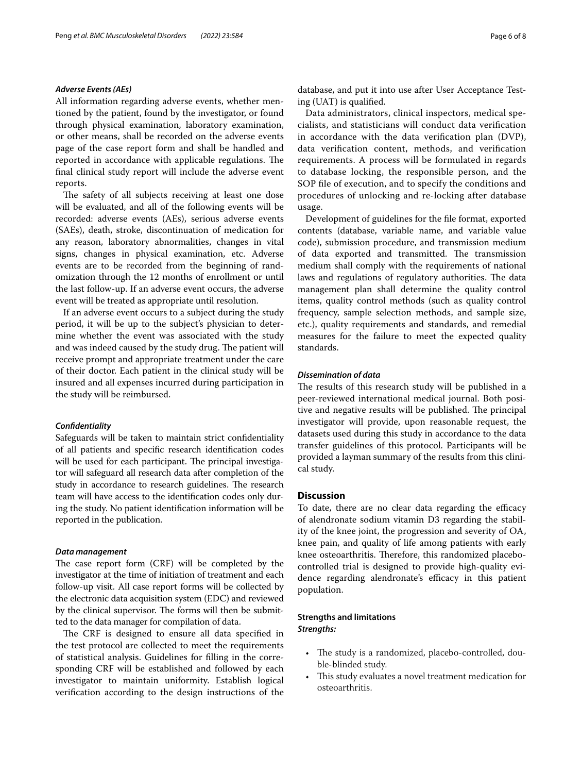### *Adverse Events (AEs)*

All information regarding adverse events, whether mentioned by the patient, found by the investigator, or found through physical examination, laboratory examination, or other means, shall be recorded on the adverse events page of the case report form and shall be handled and reported in accordance with applicable regulations. The fnal clinical study report will include the adverse event reports.

The safety of all subjects receiving at least one dose will be evaluated, and all of the following events will be recorded: adverse events (AEs), serious adverse events (SAEs), death, stroke, discontinuation of medication for any reason, laboratory abnormalities, changes in vital signs, changes in physical examination, etc. Adverse events are to be recorded from the beginning of randomization through the 12 months of enrollment or until the last follow-up. If an adverse event occurs, the adverse event will be treated as appropriate until resolution.

If an adverse event occurs to a subject during the study period, it will be up to the subject's physician to determine whether the event was associated with the study and was indeed caused by the study drug. The patient will receive prompt and appropriate treatment under the care of their doctor. Each patient in the clinical study will be insured and all expenses incurred during participation in the study will be reimbursed.

## *Confdentiality*

Safeguards will be taken to maintain strict confdentiality of all patients and specifc research identifcation codes will be used for each participant. The principal investigator will safeguard all research data after completion of the study in accordance to research guidelines. The research team will have access to the identifcation codes only during the study. No patient identifcation information will be reported in the publication.

#### *Data management*

The case report form (CRF) will be completed by the investigator at the time of initiation of treatment and each follow-up visit. All case report forms will be collected by the electronic data acquisition system (EDC) and reviewed by the clinical supervisor. The forms will then be submitted to the data manager for compilation of data.

The CRF is designed to ensure all data specified in the test protocol are collected to meet the requirements of statistical analysis. Guidelines for flling in the corresponding CRF will be established and followed by each investigator to maintain uniformity. Establish logical verifcation according to the design instructions of the database, and put it into use after User Acceptance Testing (UAT) is qualifed.

Data administrators, clinical inspectors, medical specialists, and statisticians will conduct data verifcation in accordance with the data verifcation plan (DVP), data verifcation content, methods, and verifcation requirements. A process will be formulated in regards to database locking, the responsible person, and the SOP fle of execution, and to specify the conditions and procedures of unlocking and re-locking after database usage.

Development of guidelines for the fle format, exported contents (database, variable name, and variable value code), submission procedure, and transmission medium of data exported and transmitted. The transmission medium shall comply with the requirements of national laws and regulations of regulatory authorities. The data management plan shall determine the quality control items, quality control methods (such as quality control frequency, sample selection methods, and sample size, etc.), quality requirements and standards, and remedial measures for the failure to meet the expected quality standards.

# *Dissemination of data*

The results of this research study will be published in a peer-reviewed international medical journal. Both positive and negative results will be published. The principal investigator will provide, upon reasonable request, the datasets used during this study in accordance to the data transfer guidelines of this protocol. Participants will be provided a layman summary of the results from this clinical study.

# **Discussion**

To date, there are no clear data regarding the efficacy of alendronate sodium vitamin D3 regarding the stability of the knee joint, the progression and severity of OA, knee pain, and quality of life among patients with early knee osteoarthritis. Therefore, this randomized placebocontrolled trial is designed to provide high-quality evidence regarding alendronate's efficacy in this patient population.

# **Strengths and limitations** *Strengths:*

- The study is a randomized, placebo-controlled, double-blinded study.
- This study evaluates a novel treatment medication for osteoarthritis.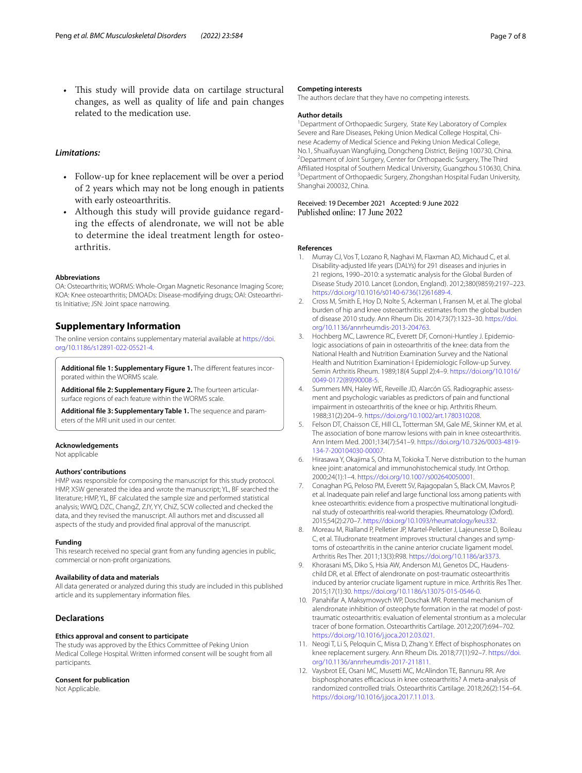This study will provide data on cartilage structural changes, as well as quality of life and pain changes related to the medication use.

# *Limitations:*

- Follow-up for knee replacement will be over a period of 2 years which may not be long enough in patients with early osteoarthritis.
- Although this study will provide guidance regarding the effects of alendronate, we will not be able to determine the ideal treatment length for osteoarthritis.

#### **Abbreviations**

OA: Osteoarthritis; WORMS: Whole-Organ Magnetic Resonance Imaging Score; KOA: Knee osteoarthritis; DMOADs: Disease-modifying drugs; OAI: Osteoarthritis Initiative; JSN: Joint space narrowing.

# **Supplementary Information**

The online version contains supplementary material available at [https://doi.](https://doi.org/10.1186/s12891-022-05521-4) [org/10.1186/s12891-022-05521-4](https://doi.org/10.1186/s12891-022-05521-4).

<span id="page-6-11"></span><span id="page-6-10"></span>Additional file 1: Supplementary Figure 1. The different features incorporated within the WORMS scale.

<span id="page-6-4"></span>**Additional fle 2: Supplementary Figure 2.** The fourteen articularsurface regions of each feature within the WORMS scale.

**Additional fle 3: Supplementary Table 1.** The sequence and param‑ eters of the MRI unit used in our center.

#### **Acknowledgements**

Not applicable

#### **Authors' contributions**

HMP was responsible for composing the manuscript for this study protocol. HMP, XSW generated the idea and wrote the manuscript; YL, BF searched the literature; HMP, YL, BF calculated the sample size and performed statistical analysis; WWQ, DZC, ChangZ, ZJY, YY, ChiZ, SCW collected and checked the data, and they revised the manuscript. All authors met and discussed all aspects of the study and provided fnal approval of the manuscript.

#### **Funding**

This research received no special grant from any funding agencies in public, commercial or non-proft organizations.

#### **Availability of data and materials**

All data generated or analyzed during this study are included in this published article and its supplementary information fles.

# **Declarations**

#### **Ethics approval and consent to participate**

The study was approved by the Ethics Committee of Peking Union Medical College Hospital. Written informed consent will be sought from all participants.

#### **Consent for publication**

Not Applicable.

#### **Competing interests**

The authors declare that they have no competing interests.

#### **Author details**

<sup>1</sup> Department of Orthopaedic Surgery, State Key Laboratory of Complex Severe and Rare Diseases, Peking Union Medical College Hospital, Chinese Academy of Medical Science and Peking Union Medical College, No.1, Shuaifuyuan Wangfujing, Dongcheng District, Beijing 100730, China. 2 <sup>2</sup> Department of Joint Surgery, Center for Orthopaedic Surgery, The Third Affiliated Hospital of Southern Medical University, Guangzhou 510630, China. <sup>3</sup> Department of Orthopaedic Surgery, Zhongshan Hospital Fudan University, Shanghai 200032, China.

# Received: 19 December 2021 Accepted: 9 June 2022

#### **References**

- <span id="page-6-0"></span>Murray CJ, Vos T, Lozano R, Naghavi M, Flaxman AD, Michaud C, et al. Disability-adjusted life years (DALYs) for 291 diseases and injuries in 21 regions, 1990–2010: a systematic analysis for the Global Burden of Disease Study 2010. Lancet (London, England). 2012;380(9859):2197–223. [https://doi.org/10.1016/s0140-6736\(12\)61689-4](https://doi.org/10.1016/s0140-6736(12)61689-4).
- <span id="page-6-1"></span>2. Cross M, Smith E, Hoy D, Nolte S, Ackerman I, Fransen M, et al. The global burden of hip and knee osteoarthritis: estimates from the global burden of disease 2010 study. Ann Rheum Dis. 2014;73(7):1323–30. [https://doi.](https://doi.org/10.1136/annrheumdis-2013-204763) [org/10.1136/annrheumdis-2013-204763](https://doi.org/10.1136/annrheumdis-2013-204763).
- <span id="page-6-2"></span>3. Hochberg MC, Lawrence RC, Everett DF, Cornoni-Huntley J. Epidemiologic associations of pain in osteoarthritis of the knee: data from the National Health and Nutrition Examination Survey and the National Health and Nutrition Examination-I Epidemiologic Follow-up Survey. Semin Arthritis Rheum. 1989;18(4 Suppl 2):4–9. [https://doi.org/10.1016/](https://doi.org/10.1016/0049-0172(89)90008-5) [0049-0172\(89\)90008-5.](https://doi.org/10.1016/0049-0172(89)90008-5)
- 4. Summers MN, Haley WE, Reveille JD, Alarcón GS. Radiographic assessment and psychologic variables as predictors of pain and functional impairment in osteoarthritis of the knee or hip. Arthritis Rheum. 1988;31(2):204–9.<https://doi.org/10.1002/art.1780310208>.
- 5. Felson DT, Chaisson CE, Hill CL, Totterman SM, Gale ME, Skinner KM, et al. The association of bone marrow lesions with pain in knee osteoarthritis. Ann Intern Med. 2001;134(7):541–9. [https://doi.org/10.7326/0003-4819-](https://doi.org/10.7326/0003-4819-134-7-200104030-00007) [134-7-200104030-00007](https://doi.org/10.7326/0003-4819-134-7-200104030-00007).
- <span id="page-6-3"></span>6. Hirasawa Y, Okajima S, Ohta M, Tokioka T. Nerve distribution to the human knee joint: anatomical and immunohistochemical study. Int Orthop. 2000;24(1):1–4. [https://doi.org/10.1007/s002640050001.](https://doi.org/10.1007/s002640050001)
- <span id="page-6-5"></span>7. Conaghan PG, Peloso PM, Everett SV, Rajagopalan S, Black CM, Mavros P, et al. Inadequate pain relief and large functional loss among patients with knee osteoarthritis: evidence from a prospective multinational longitudinal study of osteoarthritis real-world therapies. Rheumatology (Oxford). 2015;54(2):270–7. [https://doi.org/10.1093/rheumatology/keu332.](https://doi.org/10.1093/rheumatology/keu332)
- <span id="page-6-6"></span>8. Moreau M, Rialland P, Pelletier JP, Martel-Pelletier J, Lajeunesse D, Boileau C, et al. Tiludronate treatment improves structural changes and symptoms of osteoarthritis in the canine anterior cruciate ligament model. Arthritis Res Ther. 2011;13(3):R98. [https://doi.org/10.1186/ar3373.](https://doi.org/10.1186/ar3373)
- 9. Khorasani MS, Diko S, Hsia AW, Anderson MJ, Genetos DC, Haudenschild DR, et al. Efect of alendronate on post-traumatic osteoarthritis induced by anterior cruciate ligament rupture in mice. Arthritis Res Ther. 2015;17(1):30.<https://doi.org/10.1186/s13075-015-0546-0>.
- <span id="page-6-7"></span>10. Panahifar A, Maksymowych WP, Doschak MR. Potential mechanism of alendronate inhibition of osteophyte formation in the rat model of posttraumatic osteoarthritis: evaluation of elemental strontium as a molecular tracer of bone formation. Osteoarthritis Cartilage. 2012;20(7):694–702. [https://doi.org/10.1016/j.joca.2012.03.021.](https://doi.org/10.1016/j.joca.2012.03.021)
- <span id="page-6-8"></span>11. Neogi T, Li S, Peloquin C, Misra D, Zhang Y. Effect of bisphosphonates on knee replacement surgery. Ann Rheum Dis. 2018;77(1):92–7. [https://doi.](https://doi.org/10.1136/annrheumdis-2017-211811) [org/10.1136/annrheumdis-2017-211811](https://doi.org/10.1136/annrheumdis-2017-211811).
- <span id="page-6-9"></span>12. Vaysbrot EE, Osani MC, Musetti MC, McAlindon TE, Bannuru RR. Are bisphosphonates efficacious in knee osteoarthritis? A meta-analysis of randomized controlled trials. Osteoarthritis Cartilage. 2018;26(2):154–64. [https://doi.org/10.1016/j.joca.2017.11.013.](https://doi.org/10.1016/j.joca.2017.11.013)